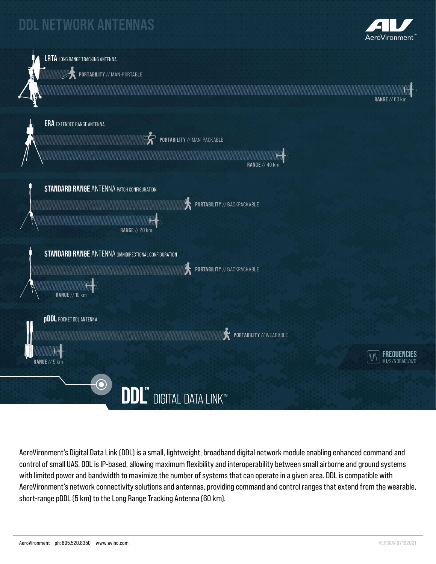## **DDL NETWORK ANTENNAS**





AeroVironment's Digital Data Link (DDL) is a small, lightweight, broadband digital network module enabling enhanced command and control of small UAS. DDL is IP-based, allowing maximum flexibility and interoperability between small airborne and ground systems with limited power and bandwidth to maximize the number of systems that can operate in a given area. DDL is compatible with AeroVironment's network connectivity solutions and antennas, providing command and control ranges that extend from the wearable, short-range pDDL (5 km) to the Long Range Tracking Antenna (60 km).